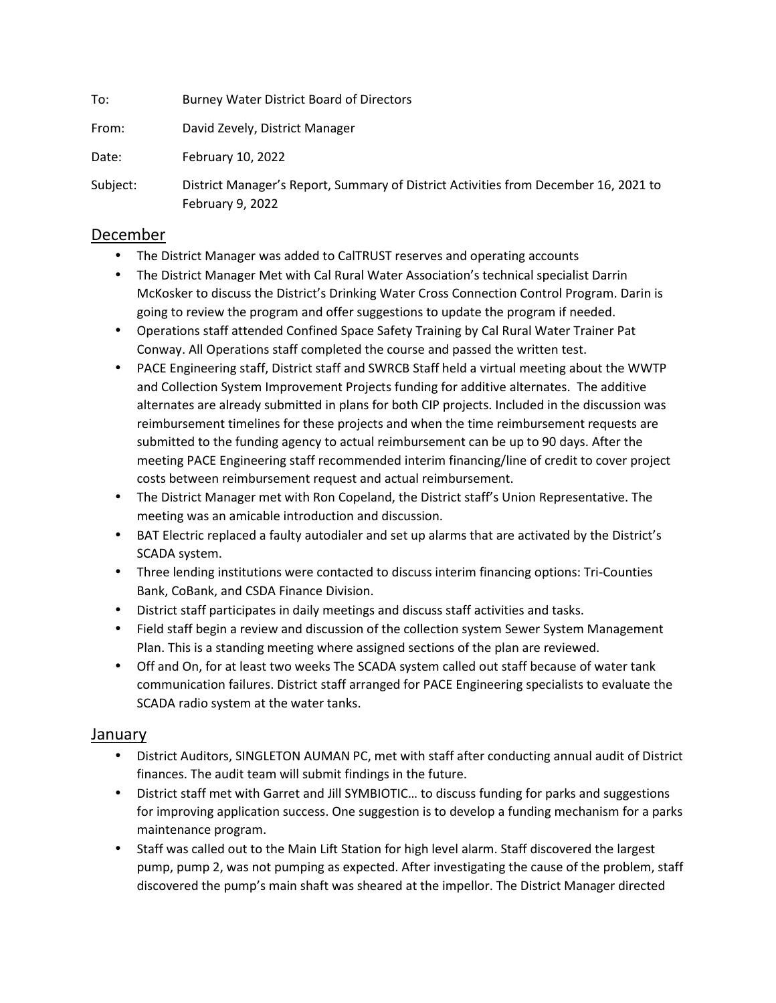To: Burney Water District Board of Directors From: David Zevely, District Manager Date: February 10, 2022 Subject: District Manager's Report, Summary of District Activities from December 16, 2021 to

## December

February 9, 2022

- The District Manager was added to CalTRUST reserves and operating accounts
- The District Manager Met with Cal Rural Water Association's technical specialist Darrin McKosker to discuss the District's Drinking Water Cross Connection Control Program. Darin is going to review the program and offer suggestions to update the program if needed.
- Operations staff attended Confined Space Safety Training by Cal Rural Water Trainer Pat Conway. All Operations staff completed the course and passed the written test.
- PACE Engineering staff, District staff and SWRCB Staff held a virtual meeting about the WWTP and Collection System Improvement Projects funding for additive alternates. The additive alternates are already submitted in plans for both CIP projects. Included in the discussion was reimbursement timelines for these projects and when the time reimbursement requests are submitted to the funding agency to actual reimbursement can be up to 90 days. After the meeting PACE Engineering staff recommended interim financing/line of credit to cover project costs between reimbursement request and actual reimbursement.
- The District Manager met with Ron Copeland, the District staff's Union Representative. The meeting was an amicable introduction and discussion.
- BAT Electric replaced a faulty autodialer and set up alarms that are activated by the District's SCADA system.
- Three lending institutions were contacted to discuss interim financing options: Tri-Counties Bank, CoBank, and CSDA Finance Division.
- District staff participates in daily meetings and discuss staff activities and tasks.
- Field staff begin a review and discussion of the collection system Sewer System Management Plan. This is a standing meeting where assigned sections of the plan are reviewed.
- Off and On, for at least two weeks The SCADA system called out staff because of water tank communication failures. District staff arranged for PACE Engineering specialists to evaluate the SCADA radio system at the water tanks.

## January

- District Auditors, SINGLETON AUMAN PC, met with staff after conducting annual audit of District finances. The audit team will submit findings in the future.
- District staff met with Garret and Jill SYMBIOTIC… to discuss funding for parks and suggestions for improving application success. One suggestion is to develop a funding mechanism for a parks maintenance program.
- Staff was called out to the Main Lift Station for high level alarm. Staff discovered the largest pump, pump 2, was not pumping as expected. After investigating the cause of the problem, staff discovered the pump's main shaft was sheared at the impellor. The District Manager directed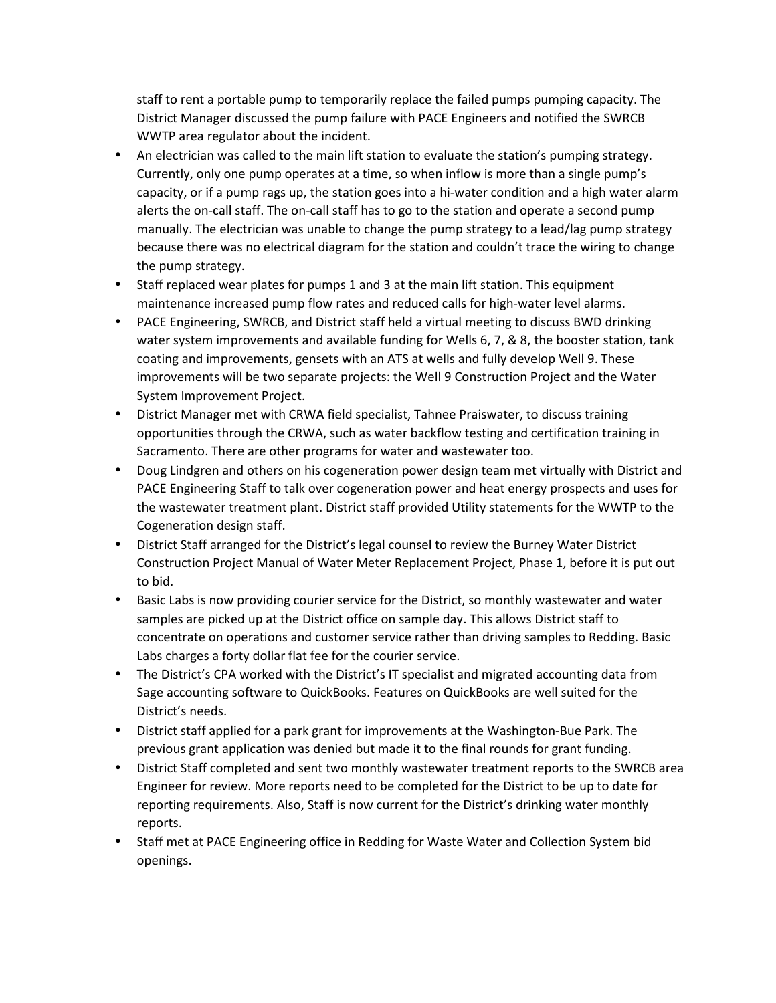staff to rent a portable pump to temporarily replace the failed pumps pumping capacity. The District Manager discussed the pump failure with PACE Engineers and notified the SWRCB WWTP area regulator about the incident.

- An electrician was called to the main lift station to evaluate the station's pumping strategy. Currently, only one pump operates at a time, so when inflow is more than a single pump's capacity, or if a pump rags up, the station goes into a hi-water condition and a high water alarm alerts the on-call staff. The on-call staff has to go to the station and operate a second pump manually. The electrician was unable to change the pump strategy to a lead/lag pump strategy because there was no electrical diagram for the station and couldn't trace the wiring to change the pump strategy.
- Staff replaced wear plates for pumps 1 and 3 at the main lift station. This equipment maintenance increased pump flow rates and reduced calls for high-water level alarms.
- PACE Engineering, SWRCB, and District staff held a virtual meeting to discuss BWD drinking water system improvements and available funding for Wells 6, 7, & 8, the booster station, tank coating and improvements, gensets with an ATS at wells and fully develop Well 9. These improvements will be two separate projects: the Well 9 Construction Project and the Water System Improvement Project.
- District Manager met with CRWA field specialist, Tahnee Praiswater, to discuss training opportunities through the CRWA, such as water backflow testing and certification training in Sacramento. There are other programs for water and wastewater too.
- Doug Lindgren and others on his cogeneration power design team met virtually with District and PACE Engineering Staff to talk over cogeneration power and heat energy prospects and uses for the wastewater treatment plant. District staff provided Utility statements for the WWTP to the Cogeneration design staff.
- District Staff arranged for the District's legal counsel to review the Burney Water District Construction Project Manual of Water Meter Replacement Project, Phase 1, before it is put out to bid.
- Basic Labs is now providing courier service for the District, so monthly wastewater and water samples are picked up at the District office on sample day. This allows District staff to concentrate on operations and customer service rather than driving samples to Redding. Basic Labs charges a forty dollar flat fee for the courier service.
- The District's CPA worked with the District's IT specialist and migrated accounting data from Sage accounting software to QuickBooks. Features on QuickBooks are well suited for the District's needs.
- District staff applied for a park grant for improvements at the Washington-Bue Park. The previous grant application was denied but made it to the final rounds for grant funding.
- District Staff completed and sent two monthly wastewater treatment reports to the SWRCB area Engineer for review. More reports need to be completed for the District to be up to date for reporting requirements. Also, Staff is now current for the District's drinking water monthly reports.
- Staff met at PACE Engineering office in Redding for Waste Water and Collection System bid openings.